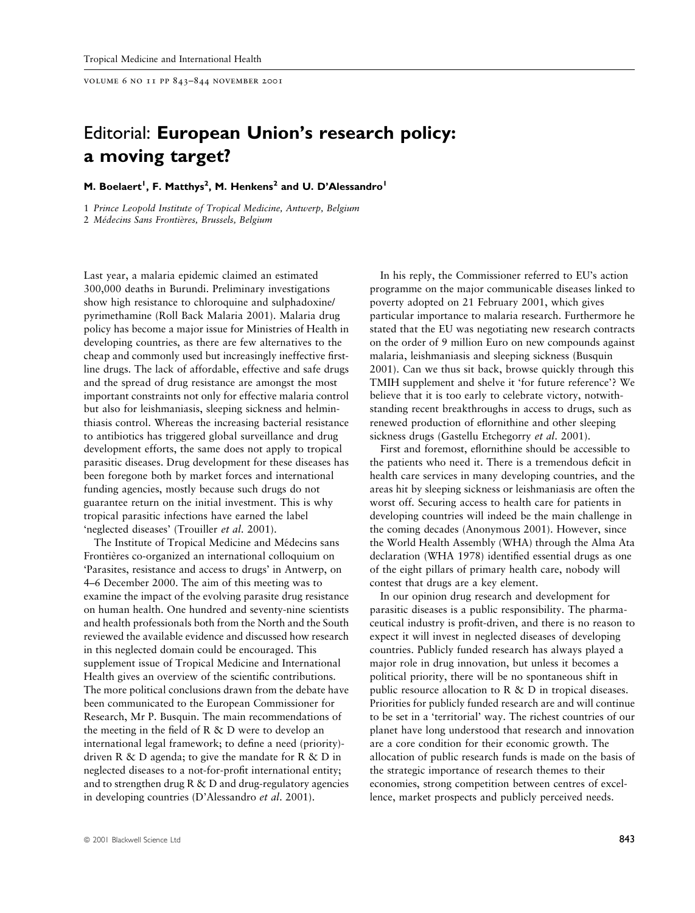volume 6 no 11 pp 843±844 november 2001

## Editorial: European Union's research policy: a moving target?

## M. Boelaert<sup>1</sup>, F. Matthys<sup>2</sup>, M. Henkens<sup>2</sup> and U. D'Alessandro<sup>1</sup>

1 Prince Leopold Institute of Tropical Medicine, Antwerp, Belgium

2 Médecins Sans Frontières, Brussels, Belgium

Last year, a malaria epidemic claimed an estimated 300,000 deaths in Burundi. Preliminary investigations show high resistance to chloroquine and sulphadoxine/ pyrimethamine (Roll Back Malaria 2001). Malaria drug policy has become a major issue for Ministries of Health in developing countries, as there are few alternatives to the cheap and commonly used but increasingly ineffective firstline drugs. The lack of affordable, effective and safe drugs and the spread of drug resistance are amongst the most important constraints not only for effective malaria control but also for leishmaniasis, sleeping sickness and helminthiasis control. Whereas the increasing bacterial resistance to antibiotics has triggered global surveillance and drug development efforts, the same does not apply to tropical parasitic diseases. Drug development for these diseases has been foregone both by market forces and international funding agencies, mostly because such drugs do not guarantee return on the initial investment. This is why tropical parasitic infections have earned the label `neglected diseases' (Trouiller et al. 2001).

The Institute of Tropical Medicine and Médecins sans Frontières co-organized an international colloquium on `Parasites, resistance and access to drugs' in Antwerp, on 4±6 December 2000. The aim of this meeting was to examine the impact of the evolving parasite drug resistance on human health. One hundred and seventy-nine scientists and health professionals both from the North and the South reviewed the available evidence and discussed how research in this neglected domain could be encouraged. This supplement issue of Tropical Medicine and International Health gives an overview of the scientific contributions. The more political conclusions drawn from the debate have been communicated to the European Commissioner for Research, Mr P. Busquin. The main recommendations of the meeting in the field of R  $\&$  D were to develop an international legal framework; to define a need (priority)driven R & D agenda; to give the mandate for R  $\&$  D in neglected diseases to a not-for-profit international entity; and to strengthen drug R & D and drug-regulatory agencies in developing countries (D'Alessandro et al. 2001).

In his reply, the Commissioner referred to EU's action programme on the major communicable diseases linked to poverty adopted on 21 February 2001, which gives particular importance to malaria research. Furthermore he stated that the EU was negotiating new research contracts on the order of 9 million Euro on new compounds against malaria, leishmaniasis and sleeping sickness (Busquin 2001). Can we thus sit back, browse quickly through this TMIH supplement and shelve it 'for future reference'? We believe that it is too early to celebrate victory, notwithstanding recent breakthroughs in access to drugs, such as renewed production of eflornithine and other sleeping sickness drugs (Gastellu Etchegorry et al. 2001).

First and foremost, eflornithine should be accessible to the patients who need it. There is a tremendous deficit in health care services in many developing countries, and the areas hit by sleeping sickness or leishmaniasis are often the worst off. Securing access to health care for patients in developing countries will indeed be the main challenge in the coming decades (Anonymous 2001). However, since the World Health Assembly (WHA) through the Alma Ata declaration (WHA 1978) identified essential drugs as one of the eight pillars of primary health care, nobody will contest that drugs are a key element.

In our opinion drug research and development for parasitic diseases is a public responsibility. The pharmaceutical industry is profit-driven, and there is no reason to expect it will invest in neglected diseases of developing countries. Publicly funded research has always played a major role in drug innovation, but unless it becomes a political priority, there will be no spontaneous shift in public resource allocation to R & D in tropical diseases. Priorities for publicly funded research are and will continue to be set in a `territorial' way. The richest countries of our planet have long understood that research and innovation are a core condition for their economic growth. The allocation of public research funds is made on the basis of the strategic importance of research themes to their economies, strong competition between centres of excellence, market prospects and publicly perceived needs.